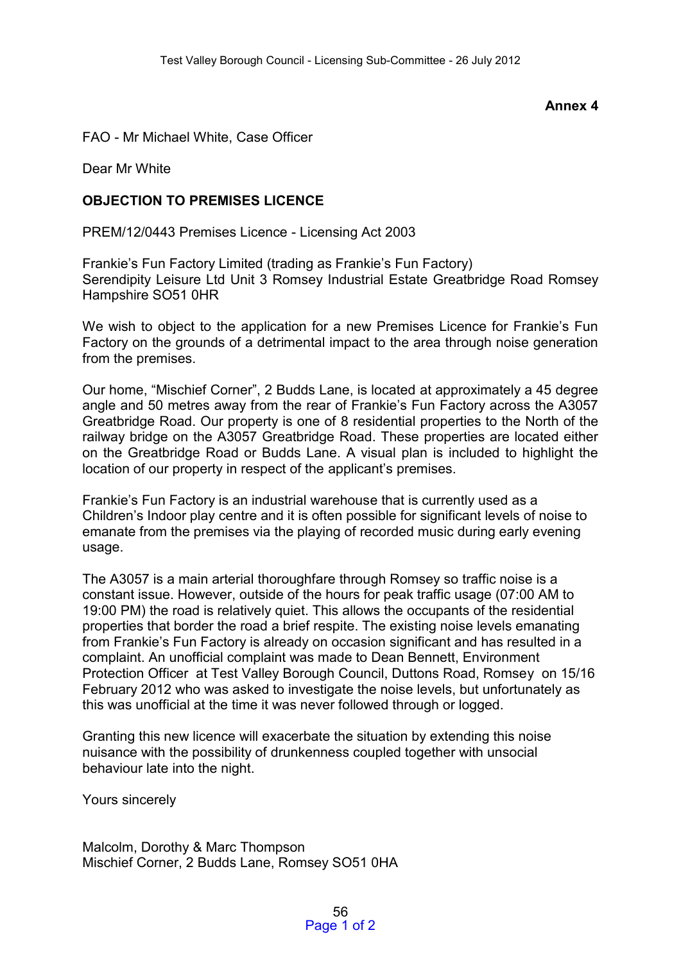## **Annex 4**

FAO - Mr Michael White, Case Officer

Dear Mr White

## **OBJECTION TO PREMISES LICENCE**

PREM/12/0443 Premises Licence - Licensing Act 2003

Frankie's Fun Factory Limited (trading as Frankie's Fun Factory) Serendipity Leisure Ltd Unit 3 Romsey Industrial Estate Greatbridge Road Romsey Hampshire SO51 0HR

We wish to object to the application for a new Premises Licence for Frankie's Fun Factory on the grounds of a detrimental impact to the area through noise generation from the premises.

Our home, "Mischief Corner", 2 Budds Lane, is located at approximately a 45 degree angle and 50 metres away from the rear of Frankie's Fun Factory across the A3057 Greatbridge Road. Our property is one of 8 residential properties to the North of the railway bridge on the A3057 Greatbridge Road. These properties are located either on the Greatbridge Road or Budds Lane. A visual plan is included to highlight the location of our property in respect of the applicant's premises.

Frankie's Fun Factory is an industrial warehouse that is currently used as a Children's Indoor play centre and it is often possible for significant levels of noise to emanate from the premises via the playing of recorded music during early evening usage.

The A3057 is a main arterial thoroughfare through Romsey so traffic noise is a constant issue. However, outside of the hours for peak traffic usage (07:00 AM to 19:00 PM) the road is relatively quiet. This allows the occupants of the residential properties that border the road a brief respite. The existing noise levels emanating from Frankie's Fun Factory is already on occasion significant and has resulted in a complaint. An unofficial complaint was made to Dean Bennett, Environment Protection Officer at Test Valley Borough Council, Duttons Road, Romsey on 15/16 February 2012 who was asked to investigate the noise levels, but unfortunately as this was unofficial at the time it was never followed through or logged.

Granting this new licence will exacerbate the situation by extending this noise nuisance with the possibility of drunkenness coupled together with unsocial behaviour late into the night.

Yours sincerely

Malcolm, Dorothy & Marc Thompson Mischief Corner, 2 Budds Lane, Romsey SO51 0HA